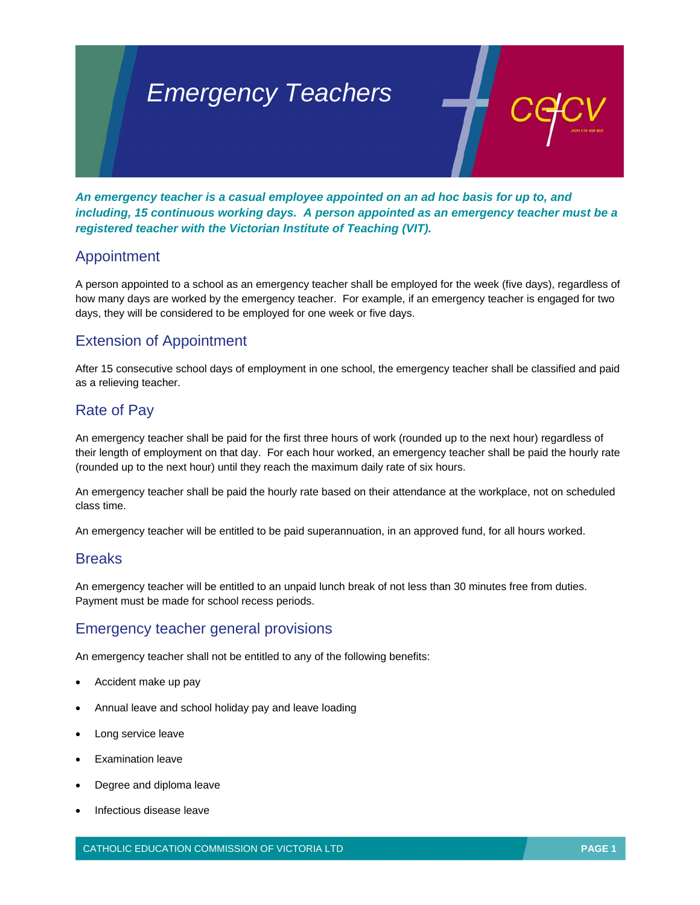# *Emergency Teachers*

*An emergency teacher is a casual employee appointed on an ad hoc basis for up to, and including, 15 continuous working days. A person appointed as an emergency teacher must be a registered teacher with the Victorian Institute of Teaching (VIT).* 

## Appointment

A person appointed to a school as an emergency teacher shall be employed for the week (five days), regardless of how many days are worked by the emergency teacher. For example, if an emergency teacher is engaged for two days, they will be considered to be employed for one week or five days.

# Extension of Appointment

After 15 consecutive school days of employment in one school, the emergency teacher shall be classified and paid as a relieving teacher.

# Rate of Pay

An emergency teacher shall be paid for the first three hours of work (rounded up to the next hour) regardless of their length of employment on that day. For each hour worked, an emergency teacher shall be paid the hourly rate (rounded up to the next hour) until they reach the maximum daily rate of six hours.

An emergency teacher shall be paid the hourly rate based on their attendance at the workplace, not on scheduled class time.

An emergency teacher will be entitled to be paid superannuation, in an approved fund, for all hours worked.

### **Breaks**

An emergency teacher will be entitled to an unpaid lunch break of not less than 30 minutes free from duties. Payment must be made for school recess periods.

### Emergency teacher general provisions

An emergency teacher shall not be entitled to any of the following benefits:

- Accident make up pay
- Annual leave and school holiday pay and leave loading
- Long service leave
- Examination leave
- Degree and diploma leave
- Infectious disease leave